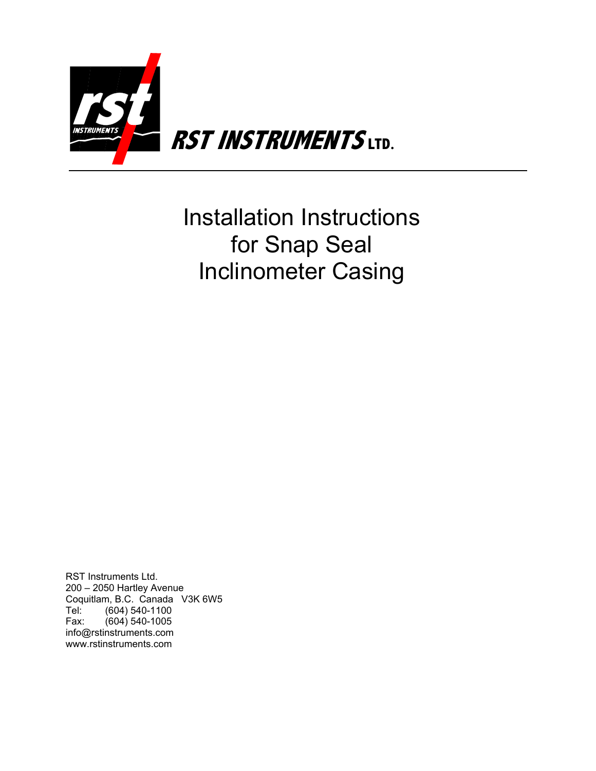

Installation Instructions for Snap Seal Inclinometer Casing

RST Instruments Ltd. 200 – 2050 Hartley Avenue Coquitlam, B.C. Canada V3K 6W5 Tel: (604) 540-1100 Fax: (604) 540-1005 info@rstinstruments.com www.rstinstruments.com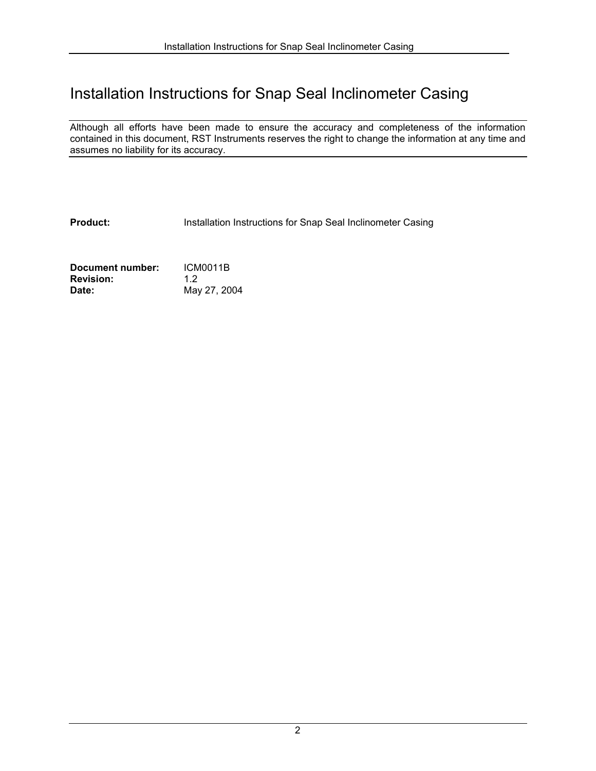# Installation Instructions for Snap Seal Inclinometer Casing

Although all efforts have been made to ensure the accuracy and completeness of the information contained in this document, RST Instruments reserves the right to change the information at any time and assumes no liability for its accuracy.

**Product:** Installation Instructions for Snap Seal Inclinometer Casing

**Document number:** ICM0011B **Revision:** 1.2 **Date:** May 27, 2004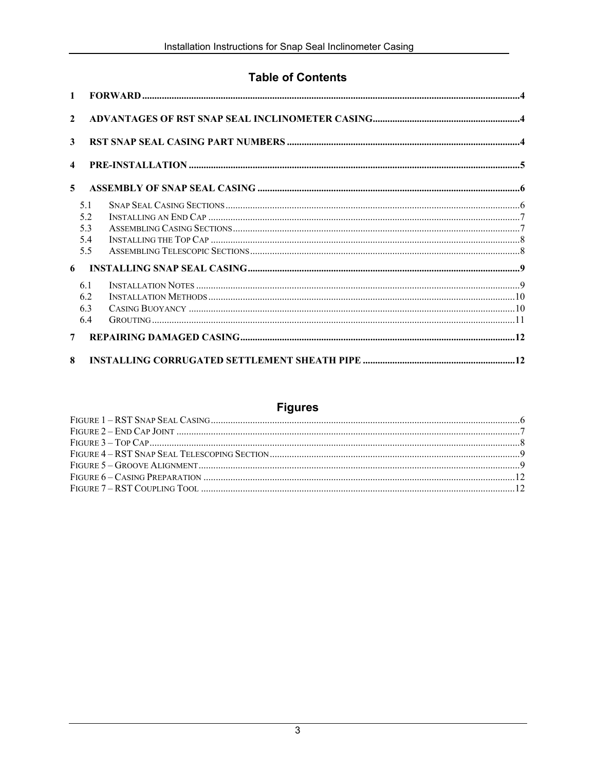## **Table of Contents**

| $\mathbf{1}$     |                                 |  |
|------------------|---------------------------------|--|
| $\mathbf{2}$     |                                 |  |
| 3                |                                 |  |
| $\boldsymbol{4}$ |                                 |  |
| 5                |                                 |  |
|                  | 5.1<br>5.2<br>5.3<br>5.4<br>5.5 |  |
| 6                |                                 |  |
|                  | 61<br>6.2<br>6.3<br>6.4         |  |
| $\overline{7}$   |                                 |  |
| 8                |                                 |  |

## **Figures**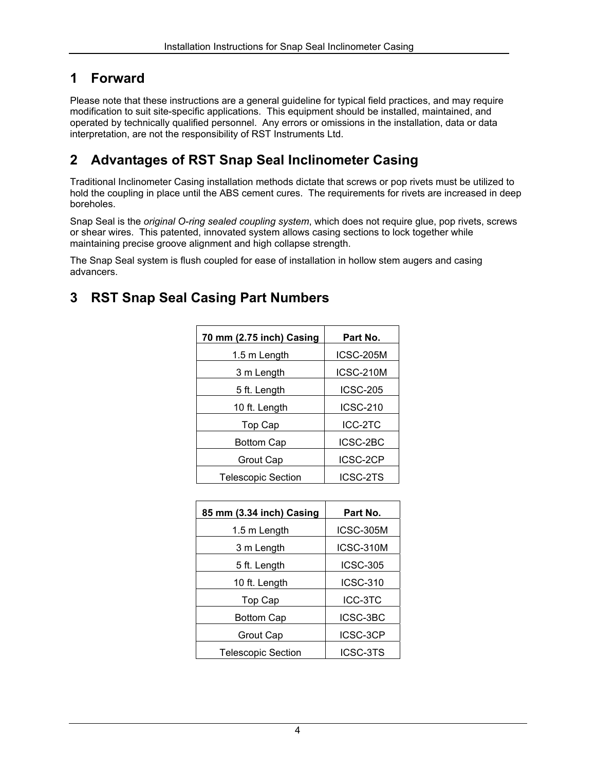## <span id="page-3-0"></span>**1 Forward**

Please note that these instructions are a general guideline for typical field practices, and may require modification to suit site-specific applications. This equipment should be installed, maintained, and operated by technically qualified personnel. Any errors or omissions in the installation, data or data interpretation, are not the responsibility of RST Instruments Ltd.

# **2 Advantages of RST Snap Seal Inclinometer Casing**

Traditional Inclinometer Casing installation methods dictate that screws or pop rivets must be utilized to hold the coupling in place until the ABS cement cures. The requirements for rivets are increased in deep boreholes.

Snap Seal is the *original O-ring sealed coupling system*, which does not require glue, pop rivets, screws or shear wires. This patented, innovated system allows casing sections to lock together while maintaining precise groove alignment and high collapse strength.

The Snap Seal system is flush coupled for ease of installation in hollow stem augers and casing advancers.

## **3 RST Snap Seal Casing Part Numbers**

| 70 mm (2.75 inch) Casing  | Part No.        |
|---------------------------|-----------------|
| 1.5 m Length              | ICSC-205M       |
| 3 m Length                | ICSC-210M       |
| 5 ft. Length              | <b>ICSC-205</b> |
| 10 ft. Length             | <b>ICSC-210</b> |
| Top Cap                   | ICC-2TC         |
| <b>Bottom Cap</b>         | ICSC-2BC        |
| Grout Cap                 | ICSC-2CP        |
| <b>Telescopic Section</b> | ICSC-2TS        |

| 85 mm (3.34 inch) Casing  | Part No.         |
|---------------------------|------------------|
| 1.5 m Length              | <b>ICSC-305M</b> |
| 3 m Length                | ICSC-310M        |
| 5 ft. Length              | <b>ICSC-305</b>  |
| 10 ft. Length             | <b>ICSC-310</b>  |
| Top Cap                   | ICC-3TC          |
| <b>Bottom Cap</b>         | ICSC-3BC         |
| Grout Cap                 | ICSC-3CP         |
| <b>Telescopic Section</b> | ICSC-3TS         |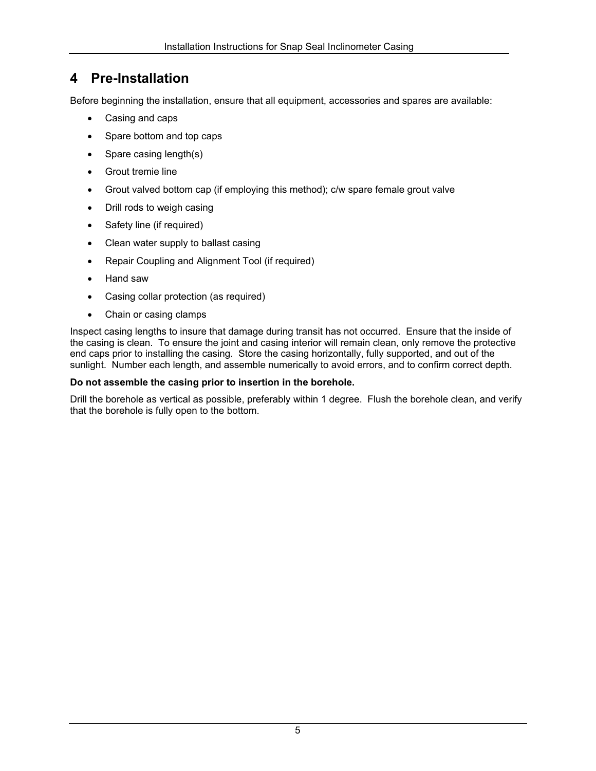# <span id="page-4-0"></span>**4 Pre-Installation**

Before beginning the installation, ensure that all equipment, accessories and spares are available:

- Casing and caps
- Spare bottom and top caps
- Spare casing length(s)
- Grout tremie line
- Grout valved bottom cap (if employing this method); c/w spare female grout valve
- Drill rods to weigh casing
- Safety line (if required)
- Clean water supply to ballast casing
- Repair Coupling and Alignment Tool (if required)
- Hand saw
- Casing collar protection (as required)
- Chain or casing clamps

Inspect casing lengths to insure that damage during transit has not occurred. Ensure that the inside of the casing is clean. To ensure the joint and casing interior will remain clean, only remove the protective end caps prior to installing the casing. Store the casing horizontally, fully supported, and out of the sunlight. Number each length, and assemble numerically to avoid errors, and to confirm correct depth.

#### **Do not assemble the casing prior to insertion in the borehole.**

Drill the borehole as vertical as possible, preferably within 1 degree. Flush the borehole clean, and verify that the borehole is fully open to the bottom.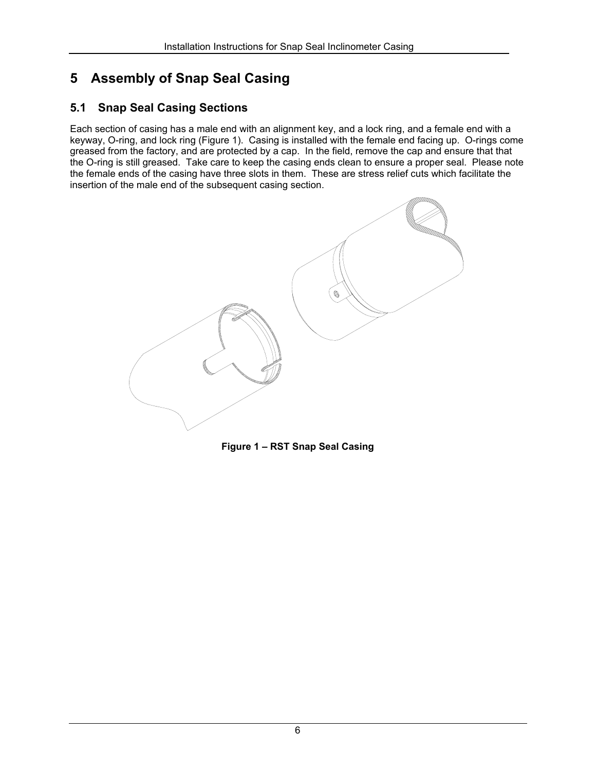# <span id="page-5-0"></span>**5 Assembly of Snap Seal Casing**

## **5.1 Snap Seal Casing Sections**

Each section of casing has a male end with an alignment key, and a lock ring, and a female end with a keyway, O-ring, and lock ring [\(Figure 1\)](#page-5-1). Casing is installed with the female end facing up. O-rings come greased from the factory, and are protected by a cap. In the field, remove the cap and ensure that that the O-ring is still greased. Take care to keep the casing ends clean to ensure a proper seal. Please note the female ends of the casing have three slots in them. These are stress relief cuts which facilitate the insertion of the male end of the subsequent casing section.

<span id="page-5-1"></span>

**Figure 1 – RST Snap Seal Casing**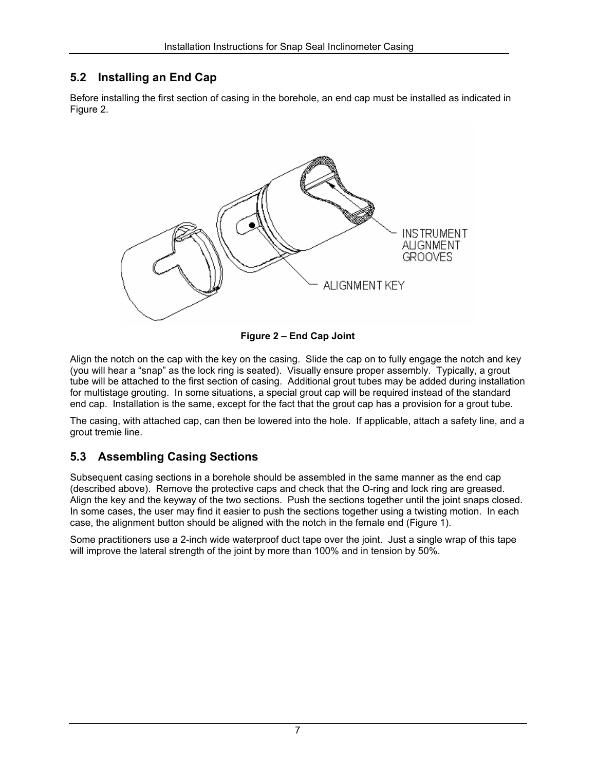## <span id="page-6-0"></span>**5.2 Installing an End Cap**

Before installing the first section of casing in the borehole, an end cap must be installed as indicated in [Figure](#page-6-1) 2.

<span id="page-6-1"></span>

**Figure 2 – End Cap Joint** 

Align the notch on the cap with the key on the casing. Slide the cap on to fully engage the notch and key (you will hear a "snap" as the lock ring is seated). Visually ensure proper assembly. Typically, a grout tube will be attached to the first section of casing. Additional grout tubes may be added during installation for multistage grouting. In some situations, a special grout cap will be required instead of the standard end cap. Installation is the same, except for the fact that the grout cap has a provision for a grout tube.

The casing, with attached cap, can then be lowered into the hole. If applicable, attach a safety line, and a grout tremie line.

## <span id="page-6-2"></span>**5.3 Assembling Casing Sections**

<span id="page-6-3"></span>Subsequent casing sections in a borehole should be assembled in the same manner as the end cap (described above). Remove the protective caps and check that the O-ring and lock ring are greased. Align the key and the keyway of the two sections. Push the sections together until the joint snaps closed. In some cases, the user may find it easier to push the sections together using a twisting motion. In each case, the alignment button should be aligned with the notch in the female end ([Figure 1\)](#page-5-1).

Some practitioners use a 2-inch wide waterproof duct tape over the joint. Just a single wrap of this tape will improve the lateral strength of the joint by more than 100% and in tension by 50%.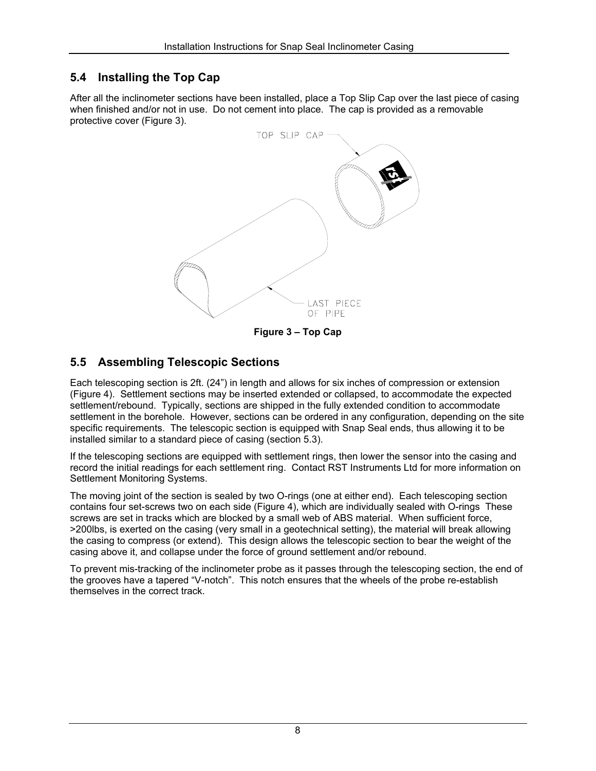### <span id="page-7-0"></span>**5.4 Installing the Top Cap**

After all the inclinometer sections have been installed, place a Top Slip Cap over the last piece of casing when finished and/or not in use. Do not cement into place. The cap is provided as a removable protective cover ([Figure 3\)](#page-7-1).

<span id="page-7-1"></span>

### **5.5 Assembling Telescopic Sections**

Each telescoping section is 2ft. (24") in length and allows for six inches of compression or extension [\(Figure 4\)](#page-8-1). Settlement sections may be inserted extended or collapsed, to accommodate the expected settlement/rebound. Typically, sections are shipped in the fully extended condition to accommodate settlement in the borehole. However, sections can be ordered in any configuration, depending on the site specific requirements. The telescopic section is equipped with Snap Seal ends, thus allowing it to be installed similar to a standard piece of casing (section [5.3\)](#page-6-2).

If the telescoping sections are equipped with settlement rings, then lower the sensor into the casing and record the initial readings for each settlement ring. Contact RST Instruments Ltd for more information on Settlement Monitoring Systems.

The moving joint of the section is sealed by two O-rings (one at either end). Each telescoping section contains four set-screws two on each side [\(Figure 4\)](#page-8-1), which are individually sealed with O-rings These screws are set in tracks which are blocked by a small web of ABS material. When sufficient force, >200lbs, is exerted on the casing (very small in a geotechnical setting), the material will break allowing the casing to compress (or extend). This design allows the telescopic section to bear the weight of the casing above it, and collapse under the force of ground settlement and/or rebound.

To prevent mis-tracking of the inclinometer probe as it passes through the telescoping section, the end of the grooves have a tapered "V-notch". This notch ensures that the wheels of the probe re-establish themselves in the correct track.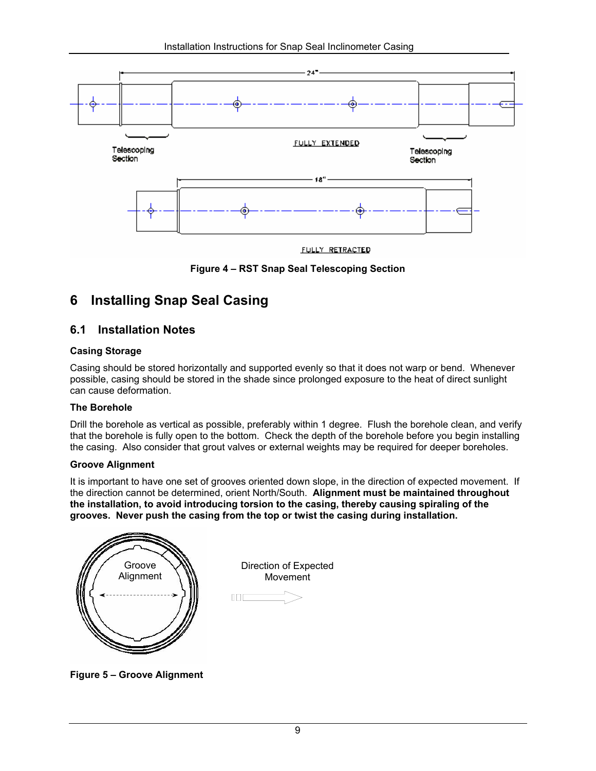<span id="page-8-1"></span><span id="page-8-0"></span>

**Figure 4 – RST Snap Seal Telescoping Section**

# **6 Installing Snap Seal Casing**

## **6.1 Installation Notes**

#### **Casing Storage**

Casing should be stored horizontally and supported evenly so that it does not warp or bend. Whenever possible, casing should be stored in the shade since prolonged exposure to the heat of direct sunlight can cause deformation.

#### **The Borehole**

Drill the borehole as vertical as possible, preferably within 1 degree. Flush the borehole clean, and verify that the borehole is fully open to the bottom. Check the depth of the borehole before you begin installing the casing. Also consider that grout valves or external weights may be required for deeper boreholes.

#### **Groove Alignment**

It is important to have one set of grooves oriented down slope, in the direction of expected movement. If the direction cannot be determined, orient North/South. **Alignment must be maintained throughout the installation, to avoid introducing torsion to the casing, thereby causing spiraling of the grooves. Never push the casing from the top or twist the casing during installation.** 



**Figure 5 – Groove Alignment**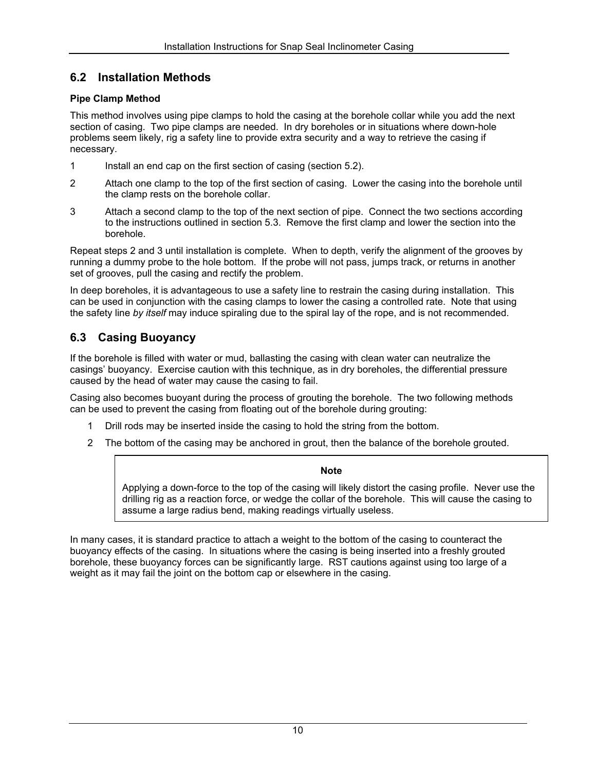### <span id="page-9-0"></span>**6.2 Installation Methods**

#### **Pipe Clamp Method**

This method involves using pipe clamps to hold the casing at the borehole collar while you add the next section of casing. Two pipe clamps are needed. In dry boreholes or in situations where down-hole problems seem likely, rig a safety line to provide extra security and a way to retrieve the casing if necessary.

- 1 Install an end cap on the first section of casing (section [5.2\)](#page-6-3).
- 2 Attach one clamp to the top of the first section of casing. Lower the casing into the borehole until the clamp rests on the borehole collar.
- 3 Attach a second clamp to the top of the next section of pipe. Connect the two sections according to the instructions outlined in section [5.3.](#page-6-2) Remove the first clamp and lower the section into the borehole.

Repeat steps 2 and 3 until installation is complete. When to depth, verify the alignment of the grooves by running a dummy probe to the hole bottom. If the probe will not pass, jumps track, or returns in another set of grooves, pull the casing and rectify the problem.

In deep boreholes, it is advantageous to use a safety line to restrain the casing during installation. This can be used in conjunction with the casing clamps to lower the casing a controlled rate. Note that using the safety line *by itself* may induce spiraling due to the spiral lay of the rope, and is not recommended.

### **6.3 Casing Buoyancy**

If the borehole is filled with water or mud, ballasting the casing with clean water can neutralize the casings' buoyancy. Exercise caution with this technique, as in dry boreholes, the differential pressure caused by the head of water may cause the casing to fail.

Casing also becomes buoyant during the process of grouting the borehole. The two following methods can be used to prevent the casing from floating out of the borehole during grouting:

- 1 Drill rods may be inserted inside the casing to hold the string from the bottom.
- 2 The bottom of the casing may be anchored in grout, then the balance of the borehole grouted.

#### **Note**

Applying a down-force to the top of the casing will likely distort the casing profile. Never use the drilling rig as a reaction force, or wedge the collar of the borehole. This will cause the casing to assume a large radius bend, making readings virtually useless.

In many cases, it is standard practice to attach a weight to the bottom of the casing to counteract the buoyancy effects of the casing. In situations where the casing is being inserted into a freshly grouted borehole, these buoyancy forces can be significantly large. RST cautions against using too large of a weight as it may fail the joint on the bottom cap or elsewhere in the casing.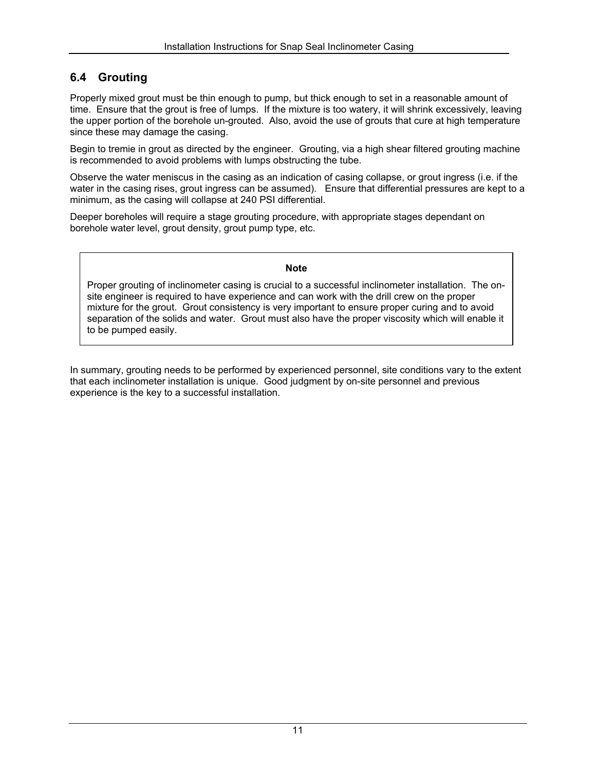## <span id="page-10-0"></span>**6.4 Grouting**

Properly mixed grout must be thin enough to pump, but thick enough to set in a reasonable amount of time. Ensure that the grout is free of lumps. If the mixture is too watery, it will shrink excessively, leaving the upper portion of the borehole un-grouted. Also, avoid the use of grouts that cure at high temperature since these may damage the casing.

Begin to tremie in grout as directed by the engineer. Grouting, via a high shear filtered grouting machine is recommended to avoid problems with lumps obstructing the tube.

Observe the water meniscus in the casing as an indication of casing collapse, or grout ingress (i.e. if the water in the casing rises, grout ingress can be assumed). Ensure that differential pressures are kept to a minimum, as the casing will collapse at 240 PSI differential.

Deeper boreholes will require a stage grouting procedure, with appropriate stages dependant on borehole water level, grout density, grout pump type, etc.

#### **Note**

Proper grouting of inclinometer casing is crucial to a successful inclinometer installation. The onsite engineer is required to have experience and can work with the drill crew on the proper mixture for the grout. Grout consistency is very important to ensure proper curing and to avoid separation of the solids and water. Grout must also have the proper viscosity which will enable it to be pumped easily.

In summary, grouting needs to be performed by experienced personnel, site conditions vary to the extent that each inclinometer installation is unique. Good judgment by on-site personnel and previous experience is the key to a successful installation.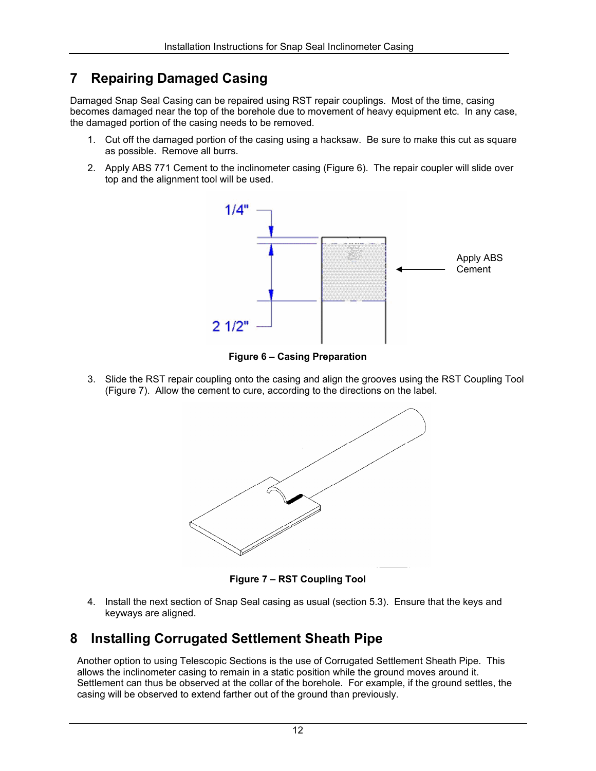# <span id="page-11-0"></span>**7 Repairing Damaged Casing**

Damaged Snap Seal Casing can be repaired using RST repair couplings. Most of the time, casing becomes damaged near the top of the borehole due to movement of heavy equipment etc. In any case, the damaged portion of the casing needs to be removed.

- 1. Cut off the damaged portion of the casing using a hacksaw. Be sure to make this cut as square as possible. Remove all burrs.
- 2. Apply ABS 771 Cement to the inclinometer casing [\(Figure 6\)](#page-11-1). The repair coupler will slide over top and the alignment tool will be used.



<span id="page-11-1"></span>**Figure 6 – Casing Preparation** 

3. Slide the RST repair coupling onto the casing and align the grooves using the RST Coupling Tool [\(Figure 7\)](#page-11-2). Allow the cement to cure, according to the directions on the label.

<span id="page-11-2"></span>

**Figure 7 – RST Coupling Tool** 

4. Install the next section of Snap Seal casing as usual (section [5.3\)](#page-6-2). Ensure that the keys and keyways are aligned.

## **8 Installing Corrugated Settlement Sheath Pipe**

Another option to using Telescopic Sections is the use of Corrugated Settlement Sheath Pipe. This allows the inclinometer casing to remain in a static position while the ground moves around it. Settlement can thus be observed at the collar of the borehole. For example, if the ground settles, the casing will be observed to extend farther out of the ground than previously.